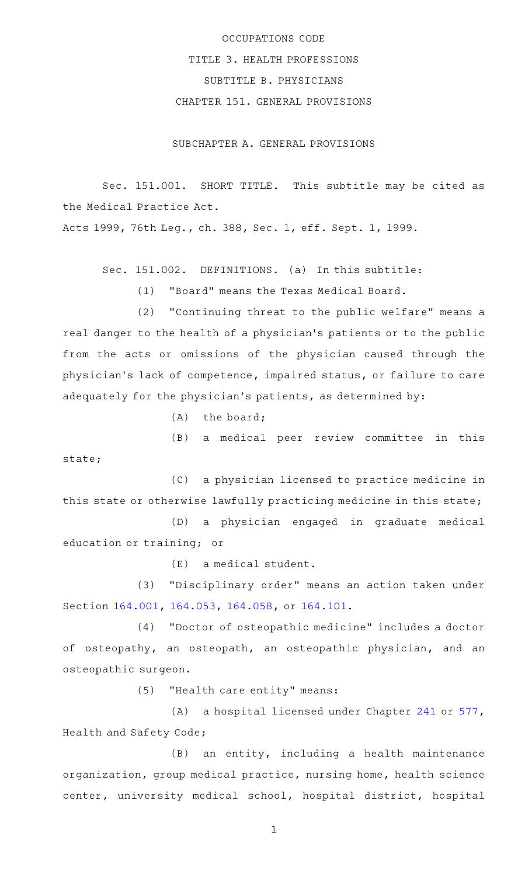## OCCUPATIONS CODE TITLE 3. HEALTH PROFESSIONS SUBTITLE B. PHYSICIANS CHAPTER 151. GENERAL PROVISIONS

SUBCHAPTER A. GENERAL PROVISIONS

Sec. 151.001. SHORT TITLE. This subtitle may be cited as the Medical Practice Act.

Acts 1999, 76th Leg., ch. 388, Sec. 1, eff. Sept. 1, 1999.

Sec. 151.002. DEFINITIONS. (a) In this subtitle:

(1) "Board" means the Texas Medical Board.

(2) "Continuing threat to the public welfare" means a real danger to the health of a physician 's patients or to the public from the acts or omissions of the physician caused through the physician 's lack of competence, impaired status, or failure to care adequately for the physician 's patients, as determined by:

 $(A)$  the board;

(B) a medical peer review committee in this state;

(C) a physician licensed to practice medicine in this state or otherwise lawfully practicing medicine in this state;

(D) a physician engaged in graduate medical education or training; or

 $(E)$  a medical student.

(3) "Disciplinary order" means an action taken under Section [164.001,](http://www.statutes.legis.state.tx.us/GetStatute.aspx?Code=OC&Value=164.001) [164.053](http://www.statutes.legis.state.tx.us/GetStatute.aspx?Code=OC&Value=164.053), [164.058,](http://www.statutes.legis.state.tx.us/GetStatute.aspx?Code=OC&Value=164.058) or [164.101](http://www.statutes.legis.state.tx.us/GetStatute.aspx?Code=OC&Value=164.101).

(4) "Doctor of osteopathic medicine" includes a doctor of osteopathy, an osteopath, an osteopathic physician, and an osteopathic surgeon.

(5) "Health care entity" means:

(A) a hospital licensed under Chapter [241](http://www.statutes.legis.state.tx.us/GetStatute.aspx?Code=HS&Value=241) or [577](http://www.statutes.legis.state.tx.us/GetStatute.aspx?Code=HS&Value=577), Health and Safety Code;

 $(B)$  an entity, including a health maintenance organization, group medical practice, nursing home, health science center, university medical school, hospital district, hospital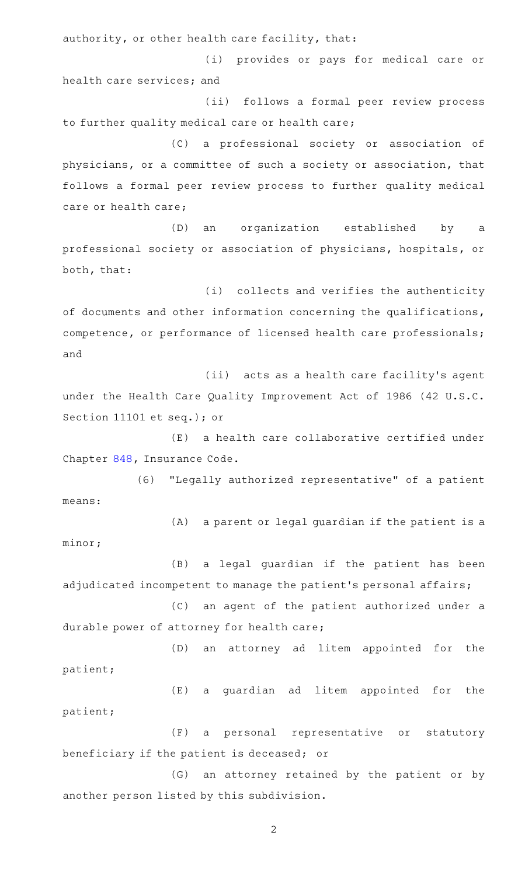authority, or other health care facility, that:

(i) provides or pays for medical care or health care services; and

(ii) follows a formal peer review process to further quality medical care or health care;

(C) a professional society or association of physicians, or a committee of such a society or association, that follows a formal peer review process to further quality medical care or health care;

(D) an organization established by a professional society or association of physicians, hospitals, or both, that:

(i) collects and verifies the authenticity of documents and other information concerning the qualifications, competence, or performance of licensed health care professionals; and

(ii) acts as a health care facility's agent under the Health Care Quality Improvement Act of 1986 (42 U.S.C. Section 11101 et seq.); or

 $(E)$  a health care collaborative certified under Chapter [848,](http://www.statutes.legis.state.tx.us/GetStatute.aspx?Code=IN&Value=848) Insurance Code.

(6) "Legally authorized representative" of a patient means:

(A) a parent or legal guardian if the patient is a minor;

(B) a legal guardian if the patient has been adjudicated incompetent to manage the patient's personal affairs;

(C) an agent of the patient authorized under a durable power of attorney for health care;

(D) an attorney ad litem appointed for the patient;

(E) a guardian ad litem appointed for the patient;

(F) a personal representative or statutory beneficiary if the patient is deceased; or

(G) an attorney retained by the patient or by another person listed by this subdivision.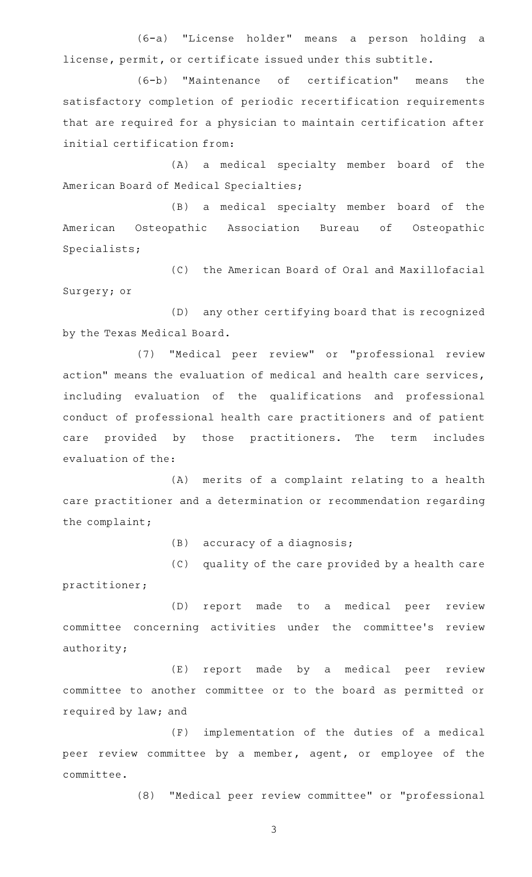(6-a) "License holder" means a person holding a license, permit, or certificate issued under this subtitle.

(6-b) "Maintenance of certification" means the satisfactory completion of periodic recertification requirements that are required for a physician to maintain certification after initial certification from:

(A) a medical specialty member board of the American Board of Medical Specialties;

(B) a medical specialty member board of the American Osteopathic Association Bureau of Osteopathic Specialists;

(C) the American Board of Oral and Maxillofacial Surgery; or

(D) any other certifying board that is recognized by the Texas Medical Board.

(7) "Medical peer review" or "professional review action" means the evaluation of medical and health care services, including evaluation of the qualifications and professional conduct of professional health care practitioners and of patient care provided by those practitioners. The term includes evaluation of the:

(A) merits of a complaint relating to a health care practitioner and a determination or recommendation regarding the complaint;

 $(B)$  accuracy of a diagnosis;

(C) quality of the care provided by a health care practitioner;

(D) report made to a medical peer review committee concerning activities under the committee's review authority;

(E) report made by a medical peer review committee to another committee or to the board as permitted or required by law; and

(F) implementation of the duties of a medical peer review committee by a member, agent, or employee of the committee.

(8) "Medical peer review committee" or "professional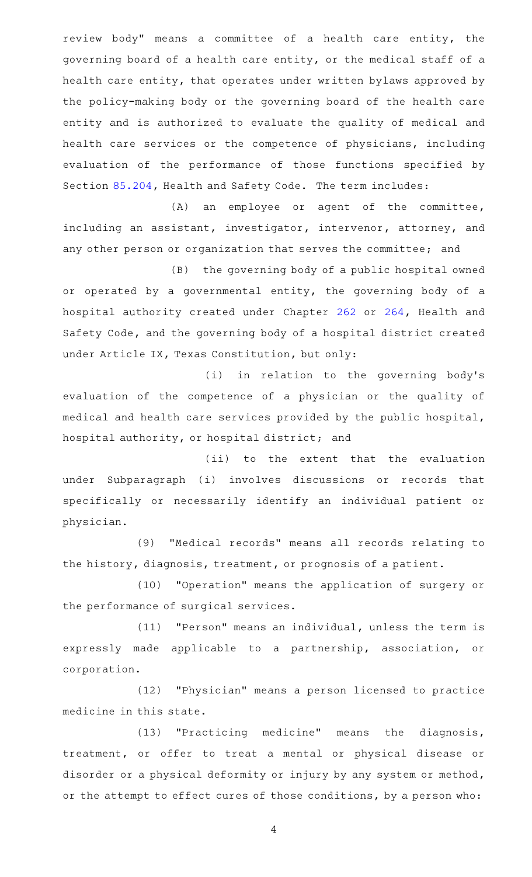review body" means a committee of a health care entity, the governing board of a health care entity, or the medical staff of a health care entity, that operates under written bylaws approved by the policy-making body or the governing board of the health care entity and is authorized to evaluate the quality of medical and health care services or the competence of physicians, including evaluation of the performance of those functions specified by Section [85.204](http://www.statutes.legis.state.tx.us/GetStatute.aspx?Code=HS&Value=85.204), Health and Safety Code. The term includes:

(A) an employee or agent of the committee, including an assistant, investigator, intervenor, attorney, and any other person or organization that serves the committee; and

(B) the governing body of a public hospital owned or operated by a governmental entity, the governing body of a hospital authority created under Chapter [262](http://www.statutes.legis.state.tx.us/GetStatute.aspx?Code=HS&Value=262) or [264](http://www.statutes.legis.state.tx.us/GetStatute.aspx?Code=HS&Value=264), Health and Safety Code, and the governing body of a hospital district created under Article IX, Texas Constitution, but only:

(i) in relation to the governing body's evaluation of the competence of a physician or the quality of medical and health care services provided by the public hospital, hospital authority, or hospital district; and

(ii) to the extent that the evaluation under Subparagraph (i) involves discussions or records that specifically or necessarily identify an individual patient or physician.

(9) "Medical records" means all records relating to the history, diagnosis, treatment, or prognosis of a patient.

(10) "Operation" means the application of surgery or the performance of surgical services.

(11) "Person" means an individual, unless the term is expressly made applicable to a partnership, association, or corporation.

(12) "Physician" means a person licensed to practice medicine in this state.

(13) "Practicing medicine" means the diagnosis, treatment, or offer to treat a mental or physical disease or disorder or a physical deformity or injury by any system or method, or the attempt to effect cures of those conditions, by a person who: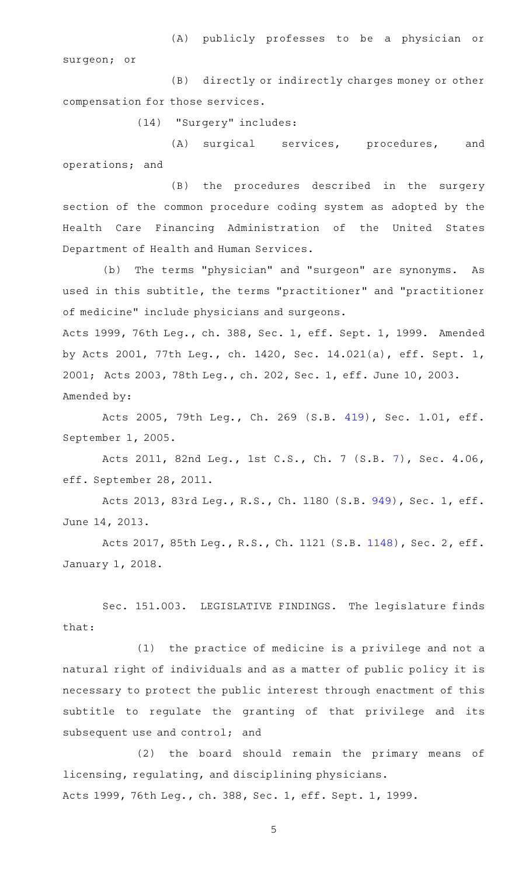(A) publicly professes to be a physician or surgeon; or

(B) directly or indirectly charges money or other compensation for those services.

(14) "Surgery" includes:

(A) surgical services, procedures, and operations; and

(B) the procedures described in the surgery section of the common procedure coding system as adopted by the Health Care Financing Administration of the United States Department of Health and Human Services.

(b) The terms "physician" and "surgeon" are synonyms. As used in this subtitle, the terms "practitioner" and "practitioner of medicine" include physicians and surgeons.

Acts 1999, 76th Leg., ch. 388, Sec. 1, eff. Sept. 1, 1999. Amended by Acts 2001, 77th Leg., ch. 1420, Sec. 14.021(a), eff. Sept. 1, 2001; Acts 2003, 78th Leg., ch. 202, Sec. 1, eff. June 10, 2003. Amended by:

Acts 2005, 79th Leg., Ch. 269 (S.B. [419](http://www.legis.state.tx.us/tlodocs/79R/billtext/html/SB00419F.HTM)), Sec. 1.01, eff. September 1, 2005.

Acts 2011, 82nd Leg., 1st C.S., Ch. 7 (S.B. [7](http://www.legis.state.tx.us/tlodocs/821/billtext/html/SB00007F.HTM)), Sec. 4.06, eff. September 28, 2011.

Acts 2013, 83rd Leg., R.S., Ch. 1180 (S.B. [949](http://www.legis.state.tx.us/tlodocs/83R/billtext/html/SB00949F.HTM)), Sec. 1, eff. June 14, 2013.

Acts 2017, 85th Leg., R.S., Ch. 1121 (S.B. [1148](http://www.legis.state.tx.us/tlodocs/85R/billtext/html/SB01148F.HTM)), Sec. 2, eff. January 1, 2018.

Sec. 151.003. LEGISLATIVE FINDINGS. The legislature finds that:

 $(1)$  the practice of medicine is a privilege and not a natural right of individuals and as a matter of public policy it is necessary to protect the public interest through enactment of this subtitle to regulate the granting of that privilege and its subsequent use and control; and

(2) the board should remain the primary means of licensing, regulating, and disciplining physicians. Acts 1999, 76th Leg., ch. 388, Sec. 1, eff. Sept. 1, 1999.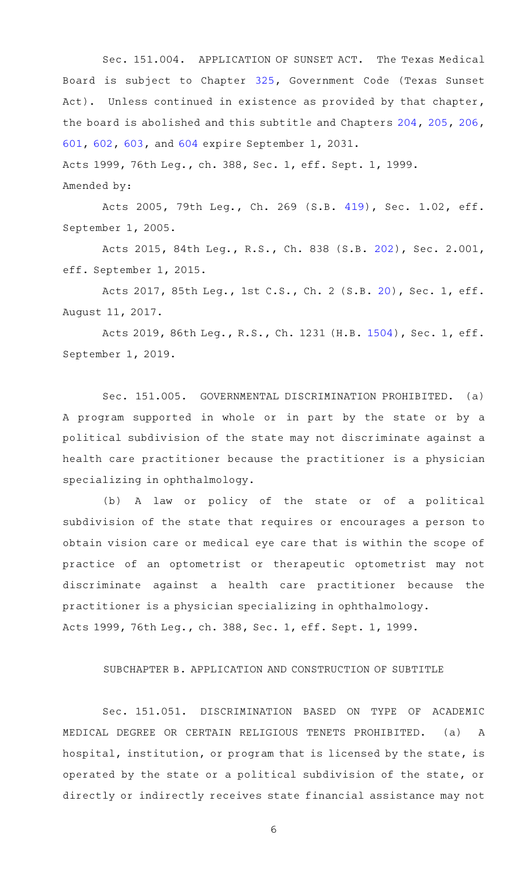Sec. 151.004. APPLICATION OF SUNSET ACT. The Texas Medical Board is subject to Chapter [325,](http://www.statutes.legis.state.tx.us/GetStatute.aspx?Code=GV&Value=325) Government Code (Texas Sunset Act). Unless continued in existence as provided by that chapter, the board is abolished and this subtitle and Chapters [204,](http://www.statutes.legis.state.tx.us/GetStatute.aspx?Code=OC&Value=204) [205](http://www.statutes.legis.state.tx.us/GetStatute.aspx?Code=OC&Value=205), [206](http://www.statutes.legis.state.tx.us/GetStatute.aspx?Code=OC&Value=206), [601,](http://www.statutes.legis.state.tx.us/GetStatute.aspx?Code=OC&Value=601) [602,](http://www.statutes.legis.state.tx.us/GetStatute.aspx?Code=OC&Value=602) [603](http://www.statutes.legis.state.tx.us/GetStatute.aspx?Code=OC&Value=603), and [604](http://www.statutes.legis.state.tx.us/GetStatute.aspx?Code=OC&Value=604) expire September 1, 2031. Acts 1999, 76th Leg., ch. 388, Sec. 1, eff. Sept. 1, 1999.

Amended by:

Acts 2005, 79th Leg., Ch. 269 (S.B. [419](http://www.legis.state.tx.us/tlodocs/79R/billtext/html/SB00419F.HTM)), Sec. 1.02, eff. September 1, 2005.

Acts 2015, 84th Leg., R.S., Ch. 838 (S.B. [202](http://www.legis.state.tx.us/tlodocs/84R/billtext/html/SB00202F.HTM)), Sec. 2.001, eff. September 1, 2015.

Acts 2017, 85th Leg., 1st C.S., Ch. 2 (S.B. [20\)](http://www.legis.state.tx.us/tlodocs/851/billtext/html/SB00020F.HTM), Sec. 1, eff. August 11, 2017.

Acts 2019, 86th Leg., R.S., Ch. 1231 (H.B. [1504](http://www.legis.state.tx.us/tlodocs/86R/billtext/html/HB01504F.HTM)), Sec. 1, eff. September 1, 2019.

Sec. 151.005. GOVERNMENTAL DISCRIMINATION PROHIBITED. (a) A program supported in whole or in part by the state or by a political subdivision of the state may not discriminate against a health care practitioner because the practitioner is a physician specializing in ophthalmology.

(b) A law or policy of the state or of a political subdivision of the state that requires or encourages a person to obtain vision care or medical eye care that is within the scope of practice of an optometrist or therapeutic optometrist may not discriminate against a health care practitioner because the practitioner is a physician specializing in ophthalmology. Acts 1999, 76th Leg., ch. 388, Sec. 1, eff. Sept. 1, 1999.

## SUBCHAPTER B. APPLICATION AND CONSTRUCTION OF SUBTITLE

Sec. 151.051. DISCRIMINATION BASED ON TYPE OF ACADEMIC MEDICAL DEGREE OR CERTAIN RELIGIOUS TENETS PROHIBITED. (a) A hospital, institution, or program that is licensed by the state, is operated by the state or a political subdivision of the state, or directly or indirectly receives state financial assistance may not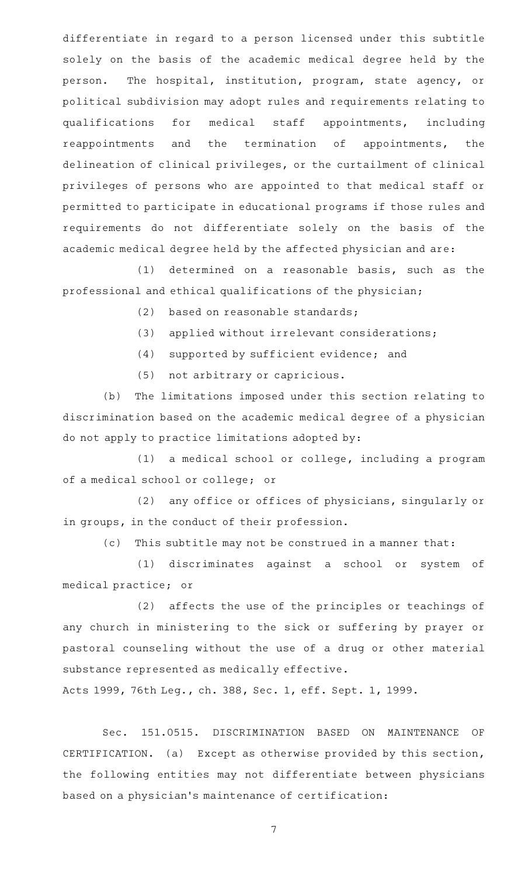differentiate in regard to a person licensed under this subtitle solely on the basis of the academic medical degree held by the person. The hospital, institution, program, state agency, or political subdivision may adopt rules and requirements relating to qualifications for medical staff appointments, including reappointments and the termination of appointments, the delineation of clinical privileges, or the curtailment of clinical privileges of persons who are appointed to that medical staff or permitted to participate in educational programs if those rules and requirements do not differentiate solely on the basis of the academic medical degree held by the affected physician and are:

 $(1)$  determined on a reasonable basis, such as the professional and ethical qualifications of the physician;

 $(2)$  based on reasonable standards;

- (3) applied without irrelevant considerations;
- (4) supported by sufficient evidence; and
- (5) not arbitrary or capricious.

(b) The limitations imposed under this section relating to discrimination based on the academic medical degree of a physician do not apply to practice limitations adopted by:

(1) a medical school or college, including a program of a medical school or college; or

(2) any office or offices of physicians, singularly or in groups, in the conduct of their profession.

(c) This subtitle may not be construed in a manner that:

(1) discriminates against a school or system of medical practice; or

(2) affects the use of the principles or teachings of any church in ministering to the sick or suffering by prayer or pastoral counseling without the use of a drug or other material substance represented as medically effective.

Acts 1999, 76th Leg., ch. 388, Sec. 1, eff. Sept. 1, 1999.

Sec. 151.0515. DISCRIMINATION BASED ON MAINTENANCE OF CERTIFICATION. (a) Except as otherwise provided by this section, the following entities may not differentiate between physicians based on a physician 's maintenance of certification: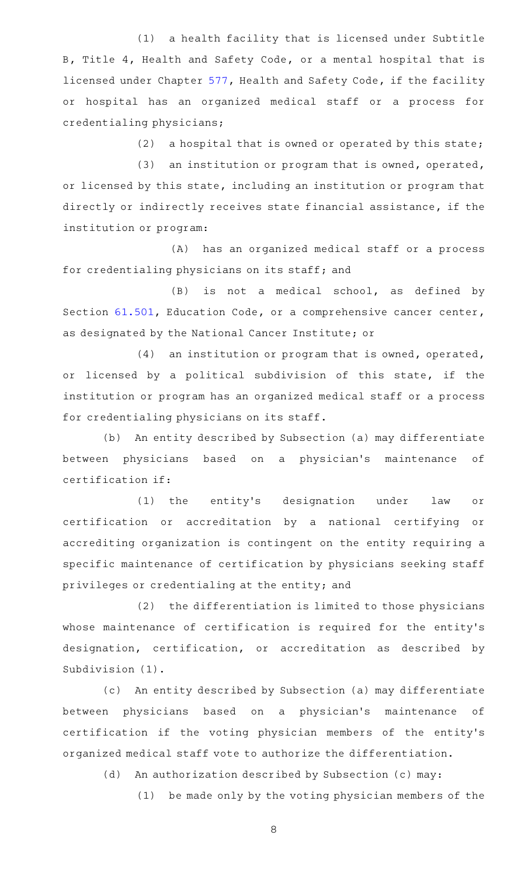(1) a health facility that is licensed under Subtitle B, Title 4, Health and Safety Code, or a mental hospital that is licensed under Chapter [577](http://www.statutes.legis.state.tx.us/GetStatute.aspx?Code=HS&Value=577), Health and Safety Code, if the facility or hospital has an organized medical staff or a process for credentialing physicians;

(2) a hospital that is owned or operated by this state;

 $(3)$  an institution or program that is owned, operated, or licensed by this state, including an institution or program that directly or indirectly receives state financial assistance, if the institution or program:

(A) has an organized medical staff or a process for credentialing physicians on its staff; and

(B) is not a medical school, as defined by Section [61.501](http://www.statutes.legis.state.tx.us/GetStatute.aspx?Code=ED&Value=61.501), Education Code, or a comprehensive cancer center, as designated by the National Cancer Institute; or

 $(4)$  an institution or program that is owned, operated, or licensed by a political subdivision of this state, if the institution or program has an organized medical staff or a process for credentialing physicians on its staff.

(b) An entity described by Subsection (a) may differentiate between physicians based on a physician's maintenance of certification if:

(1) the entity's designation under law or certification or accreditation by a national certifying or accrediting organization is contingent on the entity requiring a specific maintenance of certification by physicians seeking staff privileges or credentialing at the entity; and

(2) the differentiation is limited to those physicians whose maintenance of certification is required for the entity's designation, certification, or accreditation as described by Subdivision (1).

(c) An entity described by Subsection (a) may differentiate between physicians based on a physician's maintenance of certification if the voting physician members of the entity's organized medical staff vote to authorize the differentiation.

(d) An authorization described by Subsection (c) may:

(1) be made only by the voting physician members of the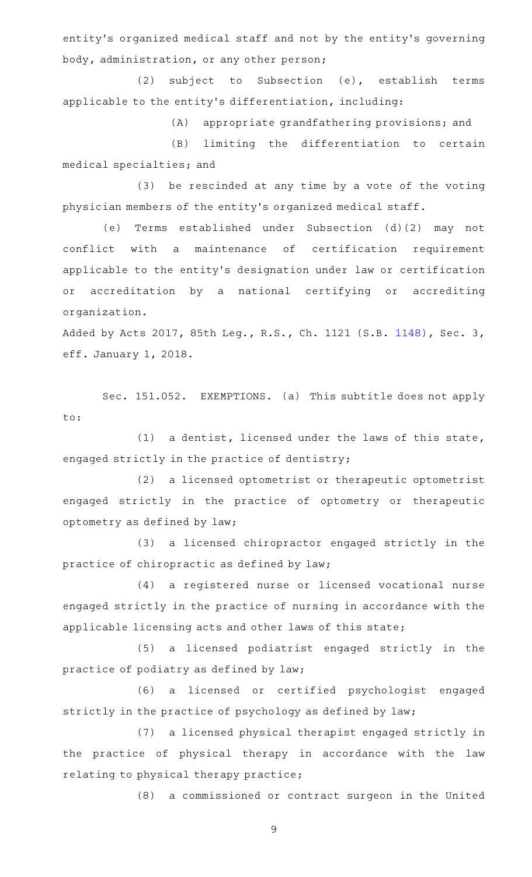entity 's organized medical staff and not by the entity 's governing body, administration, or any other person;

(2) subject to Subsection (e), establish terms applicable to the entity 's differentiation, including:

 $(A)$  appropriate grandfathering provisions; and

(B) limiting the differentiation to certain medical specialties; and

(3) be rescinded at any time by a vote of the voting physician members of the entity 's organized medical staff.

(e) Terms established under Subsection (d)(2) may not conflict with a maintenance of certification requirement applicable to the entity 's designation under law or certification or accreditation by a national certifying or accrediting organization.

Added by Acts 2017, 85th Leg., R.S., Ch. 1121 (S.B. [1148\)](http://www.legis.state.tx.us/tlodocs/85R/billtext/html/SB01148F.HTM), Sec. 3, eff. January 1, 2018.

Sec. 151.052. EXEMPTIONS. (a) This subtitle does not apply to:

(1) a dentist, licensed under the laws of this state, engaged strictly in the practice of dentistry;

(2) a licensed optometrist or therapeutic optometrist engaged strictly in the practice of optometry or therapeutic optometry as defined by law;

(3) a licensed chiropractor engaged strictly in the practice of chiropractic as defined by law;

(4) a registered nurse or licensed vocational nurse engaged strictly in the practice of nursing in accordance with the applicable licensing acts and other laws of this state;

(5) a licensed podiatrist engaged strictly in the practice of podiatry as defined by law;

(6) a licensed or certified psychologist engaged strictly in the practice of psychology as defined by law;

(7) a licensed physical therapist engaged strictly in the practice of physical therapy in accordance with the law relating to physical therapy practice;

(8) a commissioned or contract surgeon in the United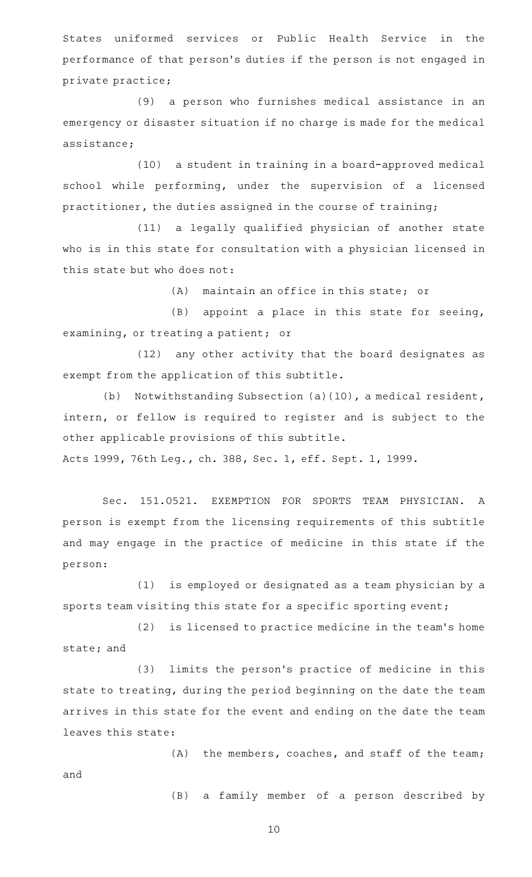States uniformed services or Public Health Service in the performance of that person 's duties if the person is not engaged in private practice;

(9) a person who furnishes medical assistance in an emergency or disaster situation if no charge is made for the medical assistance;

(10) a student in training in a board-approved medical school while performing, under the supervision of a licensed practitioner, the duties assigned in the course of training;

(11) a legally qualified physician of another state who is in this state for consultation with a physician licensed in this state but who does not:

 $(A)$  maintain an office in this state; or

 $(B)$  appoint a place in this state for seeing, examining, or treating a patient; or

(12) any other activity that the board designates as exempt from the application of this subtitle.

(b) Notwithstanding Subsection (a)(10), a medical resident, intern, or fellow is required to register and is subject to the other applicable provisions of this subtitle.

Acts 1999, 76th Leg., ch. 388, Sec. 1, eff. Sept. 1, 1999.

Sec. 151.0521. EXEMPTION FOR SPORTS TEAM PHYSICIAN. A person is exempt from the licensing requirements of this subtitle and may engage in the practice of medicine in this state if the person:

 $(1)$  is employed or designated as a team physician by a sports team visiting this state for a specific sporting event;

(2) is licensed to practice medicine in the team's home state; and

(3) limits the person's practice of medicine in this state to treating, during the period beginning on the date the team arrives in this state for the event and ending on the date the team leaves this state:

 $(A)$  the members, coaches, and staff of the team; and

(B) a family member of a person described by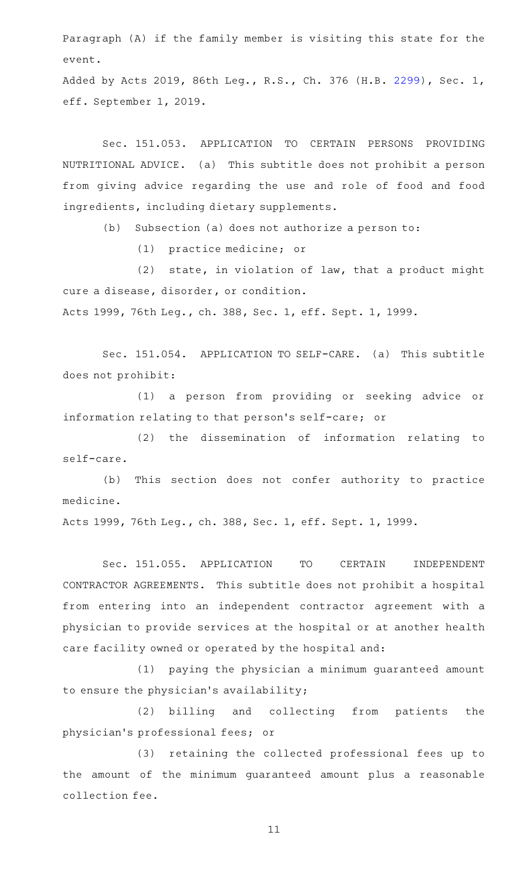Paragraph (A) if the family member is visiting this state for the event.

Added by Acts 2019, 86th Leg., R.S., Ch. 376 (H.B. [2299](http://www.legis.state.tx.us/tlodocs/86R/billtext/html/HB02299F.HTM)), Sec. 1, eff. September 1, 2019.

Sec. 151.053. APPLICATION TO CERTAIN PERSONS PROVIDING NUTRITIONAL ADVICE. (a) This subtitle does not prohibit a person from giving advice regarding the use and role of food and food ingredients, including dietary supplements.

(b) Subsection (a) does not authorize a person to:

(1) practice medicine; or

 $(2)$  state, in violation of law, that a product might cure a disease, disorder, or condition. Acts 1999, 76th Leg., ch. 388, Sec. 1, eff. Sept. 1, 1999.

Sec. 151.054. APPLICATION TO SELF-CARE. (a) This subtitle does not prohibit:

(1) a person from providing or seeking advice or information relating to that person 's self-care; or

(2) the dissemination of information relating to self-care.

(b) This section does not confer authority to practice medicine.

Acts 1999, 76th Leg., ch. 388, Sec. 1, eff. Sept. 1, 1999.

Sec. 151.055. APPLICATION TO CERTAIN INDEPENDENT CONTRACTOR AGREEMENTS. This subtitle does not prohibit a hospital from entering into an independent contractor agreement with a physician to provide services at the hospital or at another health care facility owned or operated by the hospital and:

(1) paying the physician a minimum guaranteed amount to ensure the physician 's availability;

(2) billing and collecting from patients the physician 's professional fees; or

(3) retaining the collected professional fees up to the amount of the minimum guaranteed amount plus a reasonable collection fee.